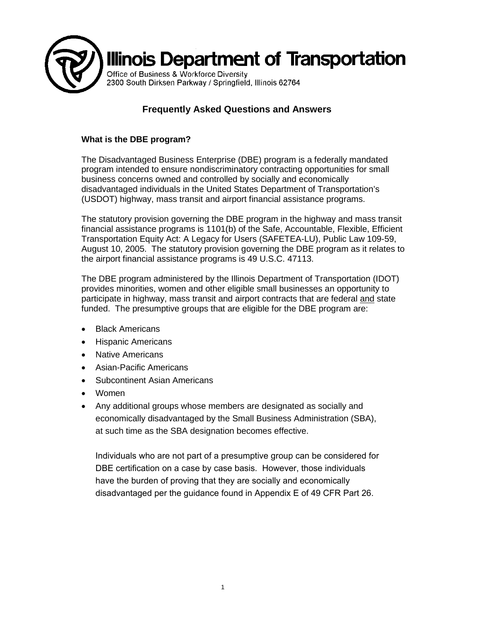

# **Frequently Asked Questions and Answers**

# **What is the DBE program?**

The Disadvantaged Business Enterprise (DBE) program is a federally mandated program intended to ensure nondiscriminatory contracting opportunities for small business concerns owned and controlled by socially and economically disadvantaged individuals in the United States Department of Transportation's (USDOT) highway, mass transit and airport financial assistance programs.

The statutory provision governing the DBE program in the highway and mass transit financial assistance programs is 1101(b) of the Safe, Accountable, Flexible, Efficient Transportation Equity Act: A Legacy for Users (SAFETEA-LU), Public Law 109-59, August 10, 2005. The statutory provision governing the DBE program as it relates to the airport financial assistance programs is 49 U.S.C. 47113.

The DBE program administered by the Illinois Department of Transportation (IDOT) provides minorities, women and other eligible small businesses an opportunity to participate in highway, mass transit and airport contracts that are federal and state funded. The presumptive groups that are eligible for the DBE program are:

- **Black Americans**
- Hispanic Americans
- Native Americans
- Asian-Pacific Americans
- Subcontinent Asian Americans
- Women
- Any additional groups whose members are designated as socially and economically disadvantaged by the Small Business Administration (SBA), at such time as the SBA designation becomes effective.

Individuals who are not part of a presumptive group can be considered for DBE certification on a case by case basis. However, those individuals have the burden of proving that they are socially and economically disadvantaged per the guidance found in Appendix E of 49 CFR Part 26.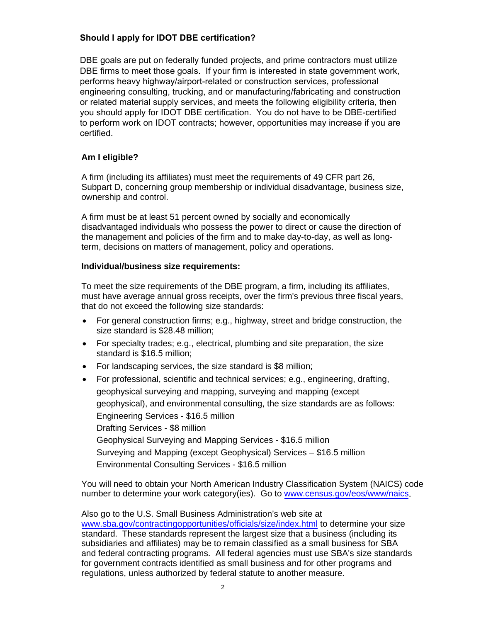# **Should I apply for IDOT DBE certification?**

DBE goals are put on federally funded projects, and prime contractors must utilize DBE firms to meet those goals. If your firm is interested in state government work, performs heavy highway/airport-related or construction services, professional engineering consulting, trucking, and or manufacturing/fabricating and construction or related material supply services, and meets the following eligibility criteria, then you should apply for IDOT DBE certification. You do not have to be DBE-certified to perform work on IDOT contracts; however, opportunities may increase if you are certified.

## **Am I eligible?**

A firm (including its affiliates) must meet the requirements of 49 CFR part 26, Subpart D, concerning group membership or individual disadvantage, business size, ownership and control.

A firm must be at least 51 percent owned by socially and economically disadvantaged individuals who possess the power to direct or cause the direction of the management and policies of the firm and to make day-to-day, as well as longterm, decisions on matters of management, policy and operations.

## **Individual/business size requirements:**

To meet the size requirements of the DBE program, a firm, including its affiliates, must have average annual gross receipts, over the firm's previous three fiscal years, that do not exceed the following size standards:

- For general construction firms; e.g., highway, street and bridge construction, the size standard is \$28.48 million;
- For specialty trades; e.g., electrical, plumbing and site preparation, the size standard is \$16.5 million;
- For landscaping services, the size standard is \$8 million;
- For professional, scientific and technical services; e.g., engineering, drafting, geophysical surveying and mapping, surveying and mapping (except geophysical), and environmental consulting, the size standards are as follows: Engineering Services - \$16.5 million Drafting Services - \$8 million [Geophysical Surveying and Mapping Services](http://www.sba.gov/contractingopportunities/officials/size/index.html) - \$16.5 million Surveying and Mapping (except Geophysical) Services – \$16.5 million Environmental Consulting Services - \$16.5 million

You will need to obtain your North American Industry Classification System (NAICS) code number to determine your work category(ies). Go to [www.census.gov/eos/www/naics.](http://www.census.gov/eos/www/naics)

Also go to the U.S. Small Business Administration's web site at www.sba.gov/contractingopportunities/officials/size/index.html to determine your size standard. These standards represent the largest size that a business (including its subsidiaries and affiliates) may be to remain classified as a small business for SBA and federal contracting programs. All federal agencies must use SBA's size standards for government contracts identified as small business and for other programs and regulations, unless authorized by federal statute to another measure.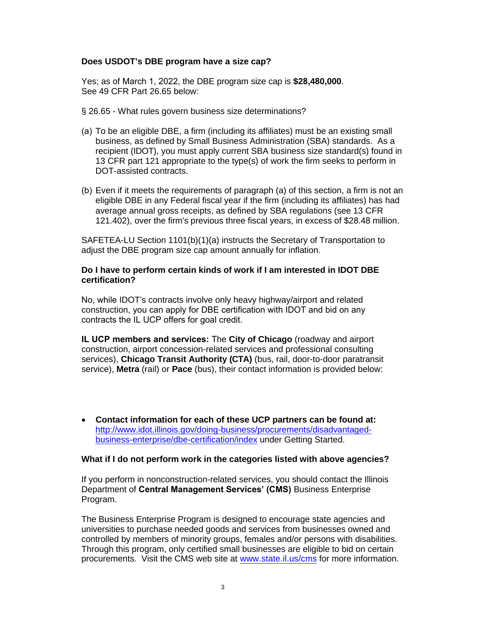### **Does USDOT's DBE program have a size cap?**

Yes; as of March 1, 2022, the DBE program size cap is **\$28,480,000**. See 49 CFR Part 26.65 below:

- § 26.65 What rules govern business size determinations?
- (a) To be an eligible DBE, a firm (including its affiliates) must be an existing small business, as defined by Small Business Administration (SBA) standards. As a recipient (IDOT), you must apply current SBA business size standard(s) found in 13 CFR part 121 appropriate to the type(s) of work the firm seeks to perform in DOT-assisted contracts.
- (b) Even if it meets the requirements of paragraph (a) of this section, a firm is not an eligible DBE in any Federal fiscal year if the firm (including its affiliates) has had average annual gross receipts, as defined by SBA regulations (see 13 CFR 121.402), over the firm's previous three fiscal years, in excess of \$28.48 million.

SAFETEA-LU Section 1101(b)(1)(a) instructs the Secretary of Transportation to adjust the DBE program size cap amount annually for inflation.

#### **Do I have to perform certain kinds of work if I am interested in IDOT DBE certification?**

No, while IDOT's contracts involve only heavy highway/airport and related construction, you can apply for DBE certification with IDOT and bid on any contracts the IL UCP offers for goal credit.

**IL UCP members and services:** The **City of Chicago** (roadway and airport construction, airport concession-related services and professional consulting services), **Chicago Transit Authority (CTA)** (bus, rail, door-to-door paratransit service), **Metra** (rail) or **Pace** (bus), their contact information is provided below:

• **Contact information for each of these UCP partners can be found at:** [http://www.idot.illinois.gov/doing-business/procurements/disadvantaged](http://www.idot.illinois.gov/doing-business/procurements/disadvantaged-business-enterprise/dbe-certification/index)[business-enterprise/dbe-certification/index](http://www.idot.illinois.gov/doing-business/procurements/disadvantaged-business-enterprise/dbe-certification/index) under Getting Started.

#### **What if I do not perform work in the categories listed with above agencies?**

If you perform in nonconstruction-related services, you should contact the Illinois Department of **Central Management Services' (CMS)** Business Enterprise Program.

The Business Enterprise Program is designed to encourage state agencies and universities to purchase needed goods and services from businesses owned and controlled by members of minority groups, females and/or persons with disabilities. Through this program, only certified small businesses are eligible to bid on certain procurements. Visit the CMS web site at [www.state.il.us/cms](http://www.state.il.us/cms) for more information.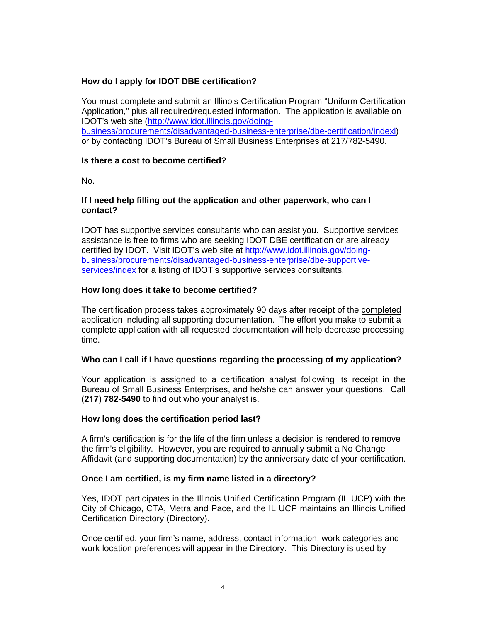## **How do I apply for IDOT DBE certification?**

You must complete and submit an Illinois Certification Program "Uniform Certification Application," plus all required/requested information. The application is available on IDOT's web site [\(http://www.idot.illinois.gov/doing](http://www.dot.il.gov/ucp/ucp.html)[business/procurements/disadvantaged-business-enterprise/dbe-certification/indexl\)](http://www.dot.il.gov/ucp/ucp.html) or by contacting IDOT's Bureau of Small Business Enterprises at 217/782-5490.

### **Is there a cost to become certified?**

No.

#### **If I need help filling out the application and other paperwork, who can I contact?**

IDOT has supportive services consultants who can assist you. Supportive services assistance is free to firms who are seeking IDOT DBE certification or are already certified by IDOT. Visit IDOT's web site at [http://www.idot.illinois.gov/doing](http://www.idot.illinois.gov/doing-business/procurements/disadvantaged-business-enterprise/dbe-supportive-services/index)[business/procurements/disadvantaged-business-enterprise/dbe-supportive](http://www.idot.illinois.gov/doing-business/procurements/disadvantaged-business-enterprise/dbe-supportive-services/index)[services/index](http://www.idot.illinois.gov/doing-business/procurements/disadvantaged-business-enterprise/dbe-supportive-services/index) for a listing of IDOT's supportive services consultants.

## **How long does it take to become certified?**

The certification process takes approximately 90 days after receipt of the completed application including all supporting documentation. The effort you make to submit a complete application with all requested documentation will help decrease processing time.

#### **Who can I call if I have questions regarding the processing of my application?**

Your application is assigned to a certification analyst following its receipt in the Bureau of Small Business Enterprises, and he/she can answer your questions. Call **(217) 782-5490** to find out who your analyst is.

#### **How long does the certification period last?**

A firm's certification is for the life of the firm unless a decision is rendered to remove the firm's eligibility. However, you are required to annually submit a No Change Affidavit (and supporting documentation) by the anniversary date of your certification.

## **Once I am certified, is my firm name listed in a directory?**

Yes, IDOT participates in the Illinois Unified Certification Program (IL UCP) with the City of Chicago, CTA, Metra and Pace, and the IL UCP maintains an Illinois Unified Certification Directory (Directory).

Once certified, your firm's name, address, contact information, work categories and work location preferences will appear in the Directory. This Directory is used by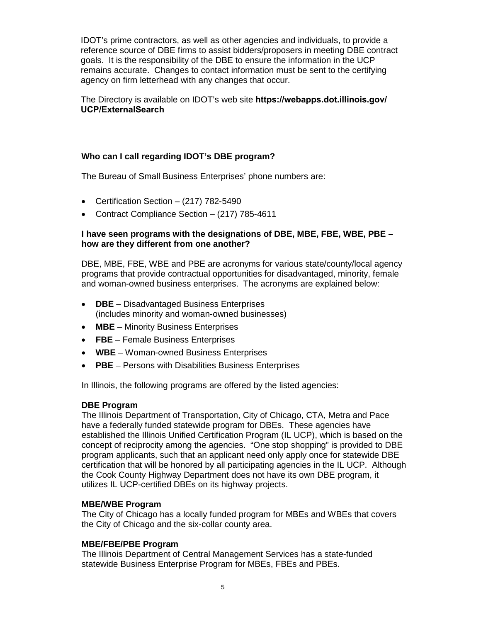IDOT's prime contractors, as well as other agencies and individuals, to provide a reference source of DBE firms to assist bidders/proposers in meeting DBE contract goals. It is the responsibility of the DBE to ensure the information in the UCP remains accurate. Changes to contact information must be sent to the certifying agency on firm letterhead with any changes that occur.

The Directory is available on IDOT's web site **https://webapps.dot.illinois.gov/ UCP/ExternalSearch**

### **Who can I call regarding IDOT's DBE program?**

The Bureau of Small Business Enterprises' phone numbers are:

- Certification Section (217) 782-5490
- Contract Compliance Section (217) 785-4611

#### **I have seen programs with the designations of DBE, MBE, FBE, WBE, PBE – how are they different from one another?**

DBE, MBE, FBE, WBE and PBE are acronyms for various state/county/local agency programs that provide contractual opportunities for disadvantaged, minority, female and woman-owned business enterprises. The acronyms are explained below:

- **DBE** Disadvantaged Business Enterprises (includes minority and woman-owned businesses)
- **MBE** Minority Business Enterprises
- **FBE** Female Business Enterprises
- **WBE** Woman-owned Business Enterprises
- **PBE** Persons with Disabilities Business Enterprises

In Illinois, the following programs are offered by the listed agencies:

#### **DBE Program**

The Illinois Department of Transportation, City of Chicago, CTA, Metra and Pace have a federally funded statewide program for DBEs. These agencies have established the Illinois Unified Certification Program (IL UCP), which is based on the concept of reciprocity among the agencies. "One stop shopping" is provided to DBE program applicants, such that an applicant need only apply once for statewide DBE certification that will be honored by all participating agencies in the IL UCP. Although the Cook County Highway Department does not have its own DBE program, it utilizes IL UCP-certified DBEs on its highway projects.

#### **MBE/WBE Program**

The City of Chicago has a locally funded program for MBEs and WBEs that covers the City of Chicago and the six-collar county area.

#### **MBE/FBE/PBE Program**

The Illinois Department of Central Management Services has a state-funded statewide Business Enterprise Program for MBEs, FBEs and PBEs.